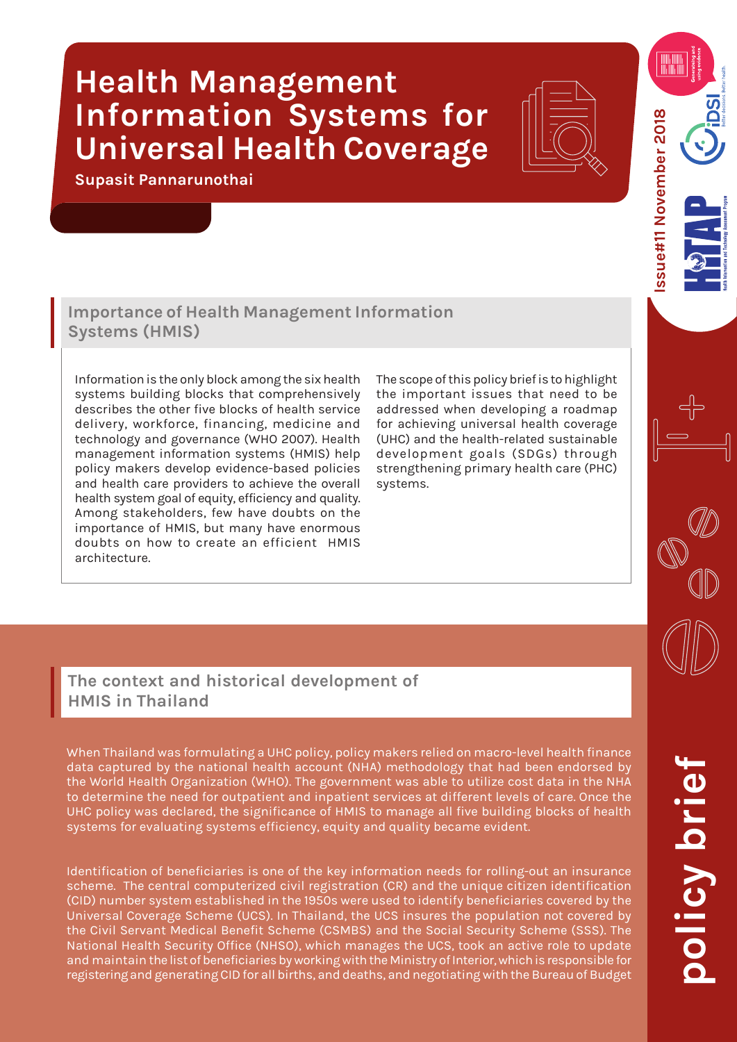## **Health Management Information Systems for Universal Health Coverage**

**Supasit Pannarunothai**



ssue#11 November 2018 **Issue#11 November 2018**

## **Importance of Health Management Information Systems (HMIS)**

Information is the only block among the six health systems building blocks that comprehensively describes the other five blocks of health service delivery, workforce, financing, medicine and technology and governance (WHO 2007). Health management information systems (HMIS) help policy makers develop evidence-based policies and health care providers to achieve the overall health system goal of equity, efficiency and quality. Among stakeholders, few have doubts on the importance of HMIS, but many have enormous doubts on how to create an efficient HMIS architecture.

The scope of this policy brief is to highlight the important issues that need to be addressed when developing a roadmap for achieving universal health coverage (UHC) and the health-related sustainable development goals (SDGs) through strengthening primary health care (PHC) systems.

**The context and historical development of HMIS in Thailand** 

When Thailand was formulating a UHC policy, policy makers relied on macro-level health finance data captured by the national health account (NHA) methodology that had been endorsed by the World Health Organization (WHO). The government was able to utilize cost data in the NHA to determine the need for outpatient and inpatient services at different levels of care. Once the UHC policy was declared, the significance of HMIS to manage all five building blocks of health systems for evaluating systems efficiency, equity and quality became evident.

Identification of beneficiaries is one of the key information needs for rolling-out an insurance scheme. The central computerized civil registration (CR) and the unique citizen identification (CID) number system established in the 1950s were used to identify beneficiaries covered by the Universal Coverage Scheme (UCS). In Thailand, the UCS insures the population not covered by the Civil Servant Medical Benefit Scheme (CSMBS) and the Social Security Scheme (SSS). The National Health Security Office (NHSO), which manages the UCS, took an active role to update and maintain the list of beneficiaries by working with the Ministry of Interior, which is responsible for registering and generating CID for all births, and deaths, and negotiating with the Bureau of Budget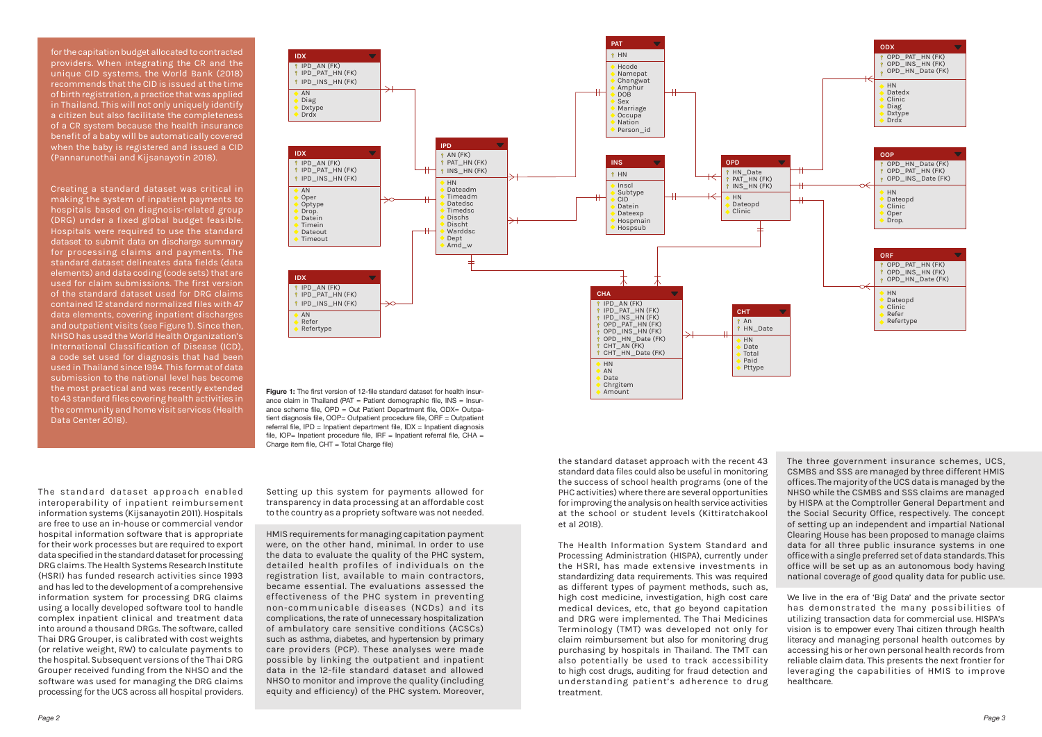The standard dataset approach enabled interoperability of inpatient reimbursement information systems (Kijsanayotin 2011). Hospitals are free to use an in-house or commercial vendor hospital information software that is appropriate for their work processes but are required to export data specified in the standard dataset for processing DRG claims. The Health Systems Research Institute (HSRI) has funded research activities since 1993 and has led to the development of a comprehensive information system for processing DRG claims using a locally developed software tool to handle complex inpatient clinical and treatment data into around a thousand DRGs. The software, called Thai DRG Grouper, is calibrated with cost weights (or relative weight, RW) to calculate payments to the hospital. Subsequent versions of the Thai DRG Grouper received funding from the NHSO and the software was used for managing the DRG claims processing for the UCS across all hospital providers.

the standard dataset approach with the recent 43 standard data files could also be useful in monitoring the success of school health programs (one of the PHC activities) where there are several opportunities for improving the analysis on health service activities at the school or student levels (Kittiratchakool et al 2018).

The Health Information System Standard and Processing Administration (HISPA), currently under the HSRI, has made extensive investments in standardizing data requirements. This was required as different types of payment methods, such as, high cost medicine, investigation, high cost care medical devices, etc, that go beyond capitation and DRG were implemented. The Thai Medicines Terminology (TMT) was developed not only for claim reimbursement but also for monitoring drug purchasing by hospitals in Thailand. The TMT can also potentially be used to track accessibility to high cost drugs, auditing for fraud detection and understanding patient's adherence to drug treatment.

for the capitation budget allocated to contracted providers. When integrating the CR and the unique CID systems, the World Bank (2018) recommends that the CID is issued at the time of birth registration, a practice that was applied in Thailand. This will not only uniquely identify a citizen but also facilitate the completeness of a CR system because the health insurance benefit of a baby will be automatically covered when the baby is registered and issued a CID (Pannarunothai and Kijsanayotin 2018).

> **Figure 1:** The first version of 12-file standard dataset for health insurance claim in Thailand (PAT = Patient demographic file,  $INS = Insur$ ance scheme file, OPD = Out Patient Department file, ODX= Outpatient diagnosis file, OOP= Outpatient procedure file, ORF = Outpatient referral file,  $IPD = In$  patient department file,  $IDX = In$  patient diagnosis file,  $IOP=$  Inpatient procedure file, IRF = Inpatient referral file, CHA = Charge item file,  $CHT = Total Charge file$ )

Creating a standard dataset was critical in making the system of inpatient payments to hospitals based on diagnosis-related group (DRG) under a fixed global budget feasible. Hospitals were required to use the standard dataset to submit data on discharge summary for processing claims and payments. The standard dataset delineates data fields (data elements) and data coding (code sets) that are used for claim submissions. The first version of the standard dataset used for DRG claims contained 12 standard normalized files with 47 data elements, covering inpatient discharges and outpatient visits (see Figure 1). Since then, NHSO has used the World Health Organization's International Classification of Disease (ICD), a code set used for diagnosis that had been used in Thailand since 1994. This format of data submission to the national level has become the most practical and was recently extended to 43 standard files covering health activities in the community and home visit services (Health Data Center 2018).

**Date**  Chrgitem Amount

Setting up this system for payments allowed for transparency in data processing at an affordable cost to the country as a propriety software was not needed.

HMIS requirements for managing capitation payment were, on the other hand, minimal. In order to use the data to evaluate the quality of the PHC system, detailed health profiles of individuals on the registration list, available to main contractors, became essential. The evaluations assessed the effectiveness of the PHC system in preventing non-communicable diseases (NCDs) and its complications, the rate of unnecessary hospitalization of ambulatory care sensitive conditions (ACSCs) such as asthma, diabetes, and hypertension by primary care providers (PCP). These analyses were made possible by linking the outpatient and inpatient data in the 12-file standard dataset and allowed NHSO to monitor and improve the quality (including equity and efficiency) of the PHC system. Moreover,

The three government insurance schemes, UCS, CSMBS and SSS are managed by three different HMIS offices. The majority of the UCS data is managed by the NHSO while the CSMBS and SSS claims are managed by HISPA at the Comptroller General Department and the Social Security Office, respectively. The concept of setting up an independent and impartial National Clearing House has been proposed to manage claims data for all three public insurance systems in one office with a single preferred set of data standards. This office will be set up as an autonomous body having national coverage of good quality data for public use.

We live in the era of 'Big Data' and the private sector has demonstrated the many possibilities of utilizing transaction data for commercial use. HISPA's vision is to empower every Thai citizen through health literacy and managing personal health outcomes by accessing his or her own personal health records from reliable claim data. This presents the next frontier for leveraging the capabilities of HMIS to improve healthcare.

**IDX** IPD\_AN (FK) IPD\_PAT\_HN (FK) P IPD\_INS\_HN (FK) AN Diag Dxtype Drdx **IDX P** IPD AN (FK) P IPD PAT HN (FK) PIPD\_INS\_HN (FK) AN Refer Refertype **IDX PIPD** AN (FK)  $\parallel$  IPD PAT HN (FK) **P** IPD INS HN (FK)  $\bullet$  AN ◆ Oper Optype Drop. Datein Timein Dateout **Timeout CHA** IPD\_AN (FK) IPD\_PAT\_HN (FK) PIPD INS HN (FK) OPD\_PAT\_HN (FK) OPD\_INS\_HN (FK) P OPD\_HN\_Date (FK) CHT\_AN (FK) CHT\_HN\_Date (FK) HN  $AN$ **IPD**  $RAN$  (FK) PAT\_HN (FK) INS\_HN (FK) HN Dateadm Timeadm Datedsc **Timedsc**  Dischs Discht Warddsc Dept Amd\_w **PAT PHN**  Hcode Namepat **Changwat**  Amphur DOB Sex Marriage Occupa Nation Person\_id **INS P** HN Inscl Subtype C<sub>ID</sub> Datein Dateexp Hospmain **Hospsub CHT**  $\sqrt{?}$  An **f** HN Date HN Date Total Paid Pttype **OPD** HN\_Date  $PAT$ \_HN (FK)  $\hat{\mathbf{B}}$  INS HN (FK) HN Dateopd Clinic